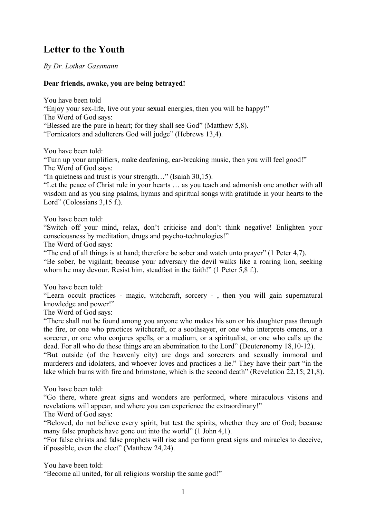## **Letter to the Youth**

*By Dr. Lothar Gassmann*

## **Dear friends, awake, you are being betrayed!**

You have been told

"Enjoy your sex-life, live out your sexual energies, then you will be happy!" The Word of God says:

"Blessed are the pure in heart; for they shall see God" (Matthew 5,8).

"Fornicators and adulterers God will judge" (Hebrews 13,4).

You have been told:

"Turn up your amplifiers, make deafening, ear-breaking music, then you will feel good!" The Word of God says:

"In quietness and trust is your strength…" (Isaiah 30,15).

"Let the peace of Christ rule in your hearts … as you teach and admonish one another with all wisdom and as you sing psalms, hymns and spiritual songs with gratitude in your hearts to the Lord" (Colossians 3.15 f.).

You have been told:

"Switch off your mind, relax, don't criticise and don't think negative! Enlighten your consciousness by meditation, drugs and psycho-technologies!"

The Word of God says:

"The end of all things is at hand; therefore be sober and watch unto prayer" (1 Peter 4,7).

"Be sober, be vigilant; because your adversary the devil walks like a roaring lion, seeking whom he may devour. Resist him, steadfast in the faith!" (1 Peter 5,8 f.).

You have been told:

"Learn occult practices - magic, witchcraft, sorcery - , then you will gain supernatural knowledge and power!"

The Word of God says:

"There shall not be found among you anyone who makes his son or his daughter pass through the fire, or one who practices witchcraft, or a soothsayer, or one who interprets omens, or a sorcerer, or one who conjures spells, or a medium, or a spiritualist, or one who calls up the dead. For all who do these things are an abomination to the Lord" (Deuteronomy 18,10-12).

"But outside (of the heavenly city) are dogs and sorcerers and sexually immoral and murderers and idolaters, and whoever loves and practices a lie." They have their part "in the lake which burns with fire and brimstone, which is the second death" (Revelation 22,15; 21,8).

You have been told:

"Go there, where great signs and wonders are performed, where miraculous visions and revelations will appear, and where you can experience the extraordinary!"

The Word of God says:

"Beloved, do not believe every spirit, but test the spirits, whether they are of God; because many false prophets have gone out into the world" (1 John 4,1).

"For false christs and false prophets will rise and perform great signs and miracles to deceive, if possible, even the elect" (Matthew 24,24).

You have been told:

"Become all united, for all religions worship the same god!"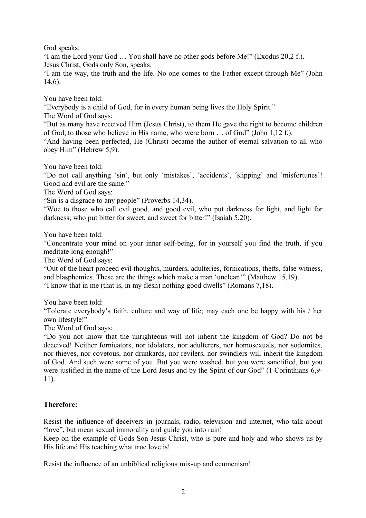God speaks:

"I am the Lord your God … You shall have no other gods before Me!" (Exodus 20,2 f.). Jesus Christ, Gods only Son, speaks:

"I am the way, the truth and the life. No one comes to the Father except through Me" (John 14,6).

You have been told:

"Everybody is a child of God, for in every human being lives the Holy Spirit."

The Word of God says:

"But as many have received Him (Jesus Christ), to them He gave the right to become children of God, to those who believe in His name, who were born … of God" (John 1,12 f.).

"And having been perfected, He (Christ) became the author of eternal salvation to all who obey Him" (Hebrew 5,9).

You have been told:

"Do not call anything ´sin`, but only ´mistakes`, ´accidents`, ´slipping` and ´misfortunes`! Good and evil are the same."

The Word of God says:

"Sin is a disgrace to any people" (Proverbs 14,34).

"Woe to those who call evil good, and good evil, who put darkness for light, and light for darkness; who put bitter for sweet, and sweet for bitter!" (Isaiah 5,20).

You have been told:

"Concentrate your mind on your inner self-being, for in yourself you find the truth, if you meditate long enough!"

The Word of God says:

"Out of the heart proceed evil thoughts, murders, adulteries, fornications, thefts, false witness, and blasphemies. These are the things which make a man 'unclean'" (Matthew 15,19). "I know that in me (that is, in my flesh) nothing good dwells" (Romans 7,18).

You have been told:

"Tolerate everybody's faith, culture and way of life; may each one be happy with his / her own lifestyle!"

The Word of God says:

"Do you not know that the unrighteous will not inherit the kingdom of God? Do not be deceived! Neither fornicators, nor idolaters, nor adulterers, nor homosexuals, nor sodomites, nor thieves, nor covetous, nor drunkards, nor revilers, nor swindlers will inherit the kingdom of God. And such were some of you. But you were washed, but you were sanctified, but you were justified in the name of the Lord Jesus and by the Spirit of our God" (1 Corinthians 6,9- 11).

## **Therefore:**

Resist the influence of deceivers in journals, radio, television and internet, who talk about "love", but mean sexual immorality and guide you into ruin!

Keep on the example of Gods Son Jesus Christ, who is pure and holy and who shows us by His life and His teaching what true love is!

Resist the influence of an unbiblical religious mix-up and ecumenism!